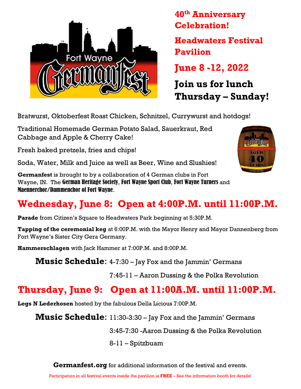

40th Anniversary Celebration! Headwaters Festival Pavilion June 8 -12, 2022

Join us for lunch Thursday – Sunday!

Bratwurst, Oktoberfest Roast Chicken, Schnitzel, Currywurst and hotdogs!

Traditional Homemade German Potato Salad, Sauerkraut, Red Cabbage and Apple & Cherry Cake!

Fresh baked pretzels, fries and chips!

Soda, Water, Milk and Juice as well as Beer, Wine and Slushies!

Germanfest is brought to by a collaboration of 4 German clubs in Fort Wayne, IN. The German Heritage Society, Fort Wayne Sport Club, Fort Wayne Turners and Maennerchor/Dammenchor of Fort Wayne.



# Wednesday, June 8: Open at 4:00P.M. until 11:00P.M.

Parade from Citizen's Square to Headwaters Park beginning at 5:30P.M.

**Tapping of the ceremonial keg** at 6:00P.M. with the Mayor Henry and Mayor Dannenberg from Fort Wayne's Sister City Gera Germany.

Hammerschlagen with Jack Hammer at 7:00P.M. and 8:00P.M.

**Music Schedule:** 4-7:30 – Jay Fox and the Jammin' Germans

7:45-11 – Aaron Dussing & the Polka Revolution

## Thursday, June 9: Open at 11:00A.M. until 11:00P.M.

Legs N Lederhosen hosted by the fabulous Della Licious 7:00P.M.

**Music Schedule:** 11:30-3:30 – Jay Fox and the Jammin' Germans

3:45-7:30 -Aaron Dussing & the Polka Revolution

8-11 – Spitzbuam

**Germanfest.org** for additional information of the festival and events.